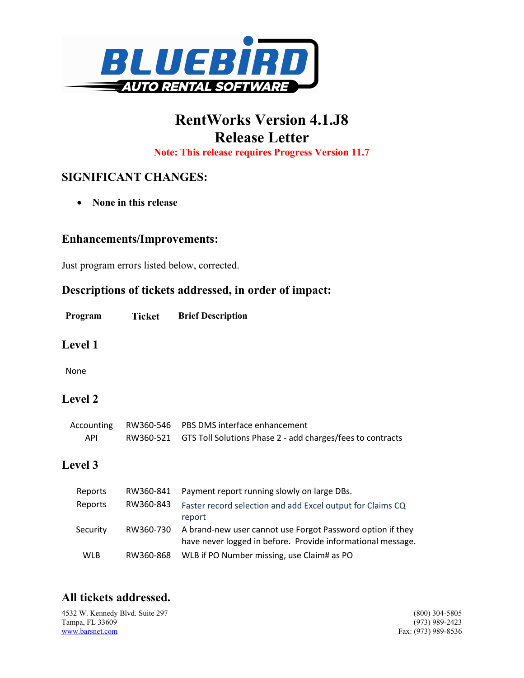

# RentWorks Version 4.1.J8 Release Letter

Note: This release requires Progress Version 11.7

## SIGNIFICANT CHANGES:

• None in this release

#### Enhancements/Improvements:

Just program errors listed below, corrected.

### Descriptions of tickets addressed, in order of impact:

| Program | Ticket | <b>Brief Description</b> |
|---------|--------|--------------------------|
|         |        |                          |

#### Level 1

None

## Level 2

|     | Accounting RW360-546 PBS DMS interface enhancement                   |
|-----|----------------------------------------------------------------------|
| API | RW360-521 GTS Toll Solutions Phase 2 - add charges/fees to contracts |

## Level 3

| Reports  | RW360-841 | Payment report running slowly on large DBs.                                                                                         |
|----------|-----------|-------------------------------------------------------------------------------------------------------------------------------------|
| Reports  | RW360-843 | Faster record selection and add Excel output for Claims CQ<br>report                                                                |
| Security |           | RW360-730 A brand-new user cannot use Forgot Password option if they<br>have never logged in before. Provide informational message. |
| WLB      | RW360-868 | WLB if PO Number missing, use Claim# as PO                                                                                          |

## All tickets addressed.

4532 W. Kennedy Blvd. Suite 297 (800) 304-5805<br>
Tampa, FL 33609 (973) 989-2423 Tampa, FL 33609<br>www.barsnet.com

Fax: (973) 989-8536